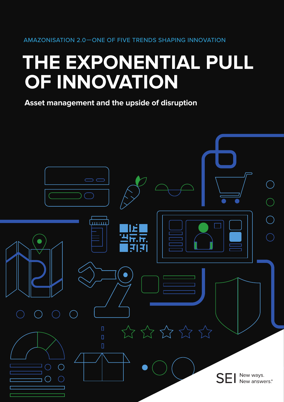# **THE EXPONENTIAL PULL OF INNOVATION**

**Asset management and the upside of disruption** 

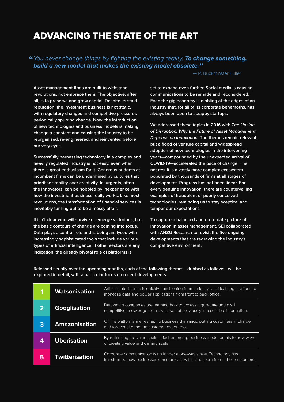## ADVANCING THE STATE OF THE ART

"*You never change things by fighting the existing reality. To change something, build a new model that makes the existing model obsolete.*"

— R. Buckminster Fuller

**Asset management firms are built to withstand revolutions, not embrace them. The objective, after all, is to preserve and grow capital. Despite its staid reputation, the investment business is not static, with regulatory changes and competitive pressures periodically spurring change. Now, the introduction of new technologies and business models is making change a constant and causing the industry to be reorganised, re-engineered, and reinvented before our very eyes.**

**Successfully harnessing technology in a complex and heavily regulated industry is not easy, even when there is great enthusiasm for it. Generous budgets at incumbent firms can be undermined by cultures that prioritise stability over creativity. Insurgents, often the innovators, can be hobbled by inexperience with how the investment business really works. Like most revolutions, the transformation of financial services is inevitably turning out to be a messy affair.**

**It isn't clear who will survive or emerge victorious, but the basic contours of change are coming into focus. Data plays a central role and is being analysed with increasingly sophisticated tools that include various types of artificial intelligence. If other sectors are any indication, the already pivotal role of platforms is** 

**set to expand even further. Social media is causing communications to be remade and reconsidered. Even the gig economy is nibbling at the edges of an industry that, for all of its corporate behemoths, has always been open to scrappy startups.**

**We addressed these topics in 2016 with The Upside of Disruption: Why the Future of Asset Management Depends on Innovation. The themes remain relevant, but a flood of venture capital and widespread adoption of new technologies in the intervening years—compounded by the unexpected arrival of COVID-19—accelerated the pace of change. The net result is a vastly more complex ecosystem populated by thousands of firms at all stages of development. Progress has not been linear. For every genuine innovation, there are countervailing examples of fraudulent or poorly conceived technologies, reminding us to stay sceptical and temper our expectations.** 

**To capture a balanced and up-to-date picture of innovation in asset management, SEI collaborated with ANZU Research to revisit the five ongoing developments that are redrawing the industry's competitive environment.**

**Released serially over the upcoming months, each of the following themes—dubbed as follows—will be explored in detail, with a particular focus on recent developments:**

| 1                       | <b>Watsonisation</b>  | Artificial intelligence is quickly transitioning from curiosity to critical cog in efforts to<br>monetise data and power applications from front to back office. |
|-------------------------|-----------------------|------------------------------------------------------------------------------------------------------------------------------------------------------------------|
| $\overline{\mathbf{2}}$ | <b>Googlisation</b>   | Data-smart companies are learning how to access, aggregate and distil<br>competitive knowledge from a vast sea of previously inaccessible information.           |
| 3                       | <b>Amazonisation</b>  | Online platforms are reshaping business dynamics, putting customers in charge<br>and forever altering the customer experience.                                   |
| 4                       | <b>Uberisation</b>    | By rethinking the value chain, a fast-emerging business model points to new ways<br>of creating value and gaining scale.                                         |
| 5                       | <b>Twitterisation</b> | Corporate communication is no longer a one-way street. Technology has<br>transformed how businesses communicate with—and learn from—their customers.             |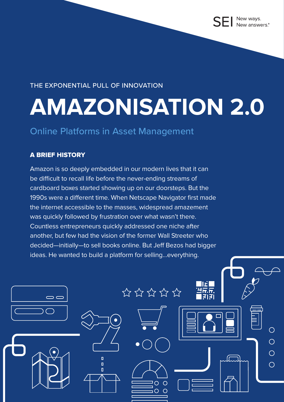### THE EXPONENTIAL PULL OF INNOVATION

# **AMAZONISATION 2.0**

 $\hat{z}$  =  $\hat{z}$  =  $\hat{z}$  =  $\hat{z}$  =  $\hat{z}$  =  $\hat{z}$  =  $\hat{z}$  =  $\hat{z}$  =  $\hat{z}$  =  $\hat{z}$  =  $\hat{z}$  =  $\hat{z}$  =  $\hat{z}$  =  $\hat{z}$  =  $\hat{z}$  =  $\hat{z}$  =  $\hat{z}$  =  $\hat{z}$  =  $\hat{z}$  =  $\hat{z}$  =  $\hat{z}$  =  $\hat{z}$  =

THE EXPONENTIAL PULL OF INNOVATION :: AMAZONISATION 2.0 **iii**

 $\circ$  $\Omega$  $\bigcap$ 

 $\bigcap$ 

 $\bigcirc$ 

 $\overline{O}$ 

 $\bigcirc$ 

## Online Platforms in Asset Management

### A BRIEF HISTORY

 $\bigcirc$ 

Amazon is so deeply embedded in our modern lives that it can be difficult to recall life before the never-ending streams of cardboard boxes started showing up on our doorsteps. But the 1990s were a different time. When Netscape Navigator first made the internet accessible to the masses, widespread amazement was quickly followed by frustration over what wasn't there. Countless entrepreneurs quickly addressed one niche after another, but few had the vision of the former Wall Streeter who decided—initially—to sell books online. But Jeff Bezos had bigger ideas. He wanted to build a platform for selling…everything.

> $\overline{\mathbf{n}}$  $\overline{\mathsf{n}}$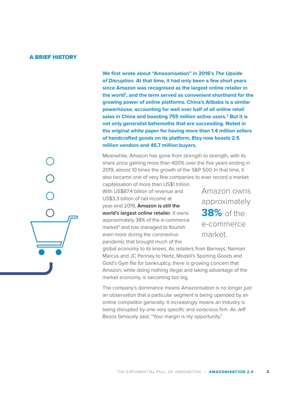### A BRIEF HISTORY

**We first wrote about "Amazonisation" in 2016's** *The Upside of Disruption***. At that time, it had only been a few short years since Amazon was recognised as the largest online retailer in the world1 , and the term served as convenient shorthand for the growing power of online platforms. China's Alibaba is a similar powerhouse, accounting for well over half of all online retail sales in China and boasting 755 million active users.2 But it is not only generalist behemoths that are succeeding. Noted in the original white paper for having more than 1.4 million sellers of handcrafted goods on its platform, Etsy now boasts 2.5 million vendors and 45.7 million buyers.**

Meanwhile, Amazon has gone from strength to strength, with its share price gaining more than 400% over the five years ending in 2019, almost 10 times the growth of the S&P 500. In that time, it also became one of very few companies to ever record a market

capitalisation of more than US\$1 trillion. With US\$87.4 billion of revenue and US\$3.3 billion of net income at year-end 2019, **Amazon is still the world's largest online retailer**. It owns approximately 38% of the e-commerce market<sup>3</sup> and has managed to flourish even more during the coronavirus pandemic that brought much of the

Amazon owns approximately **38%** of the e-commerce market.

global economy to its knees. As retailers from Barneys, Neiman Marcus and JC Penney to Hertz, Modell's Sporting Goods and Gold's Gym file for bankruptcy, there is growing concern that Amazon, while doing nothing illegal and taking advantage of the market economy, is becoming too big.

The company's dominance means Amazonisation is no longer just an observation that a particular segment is being upended by an online competitor generally. It increasingly means an industry is being disrupted by one very specific and voracious firm. As Jeff Bezos famously said, "Your margin is my opportunity."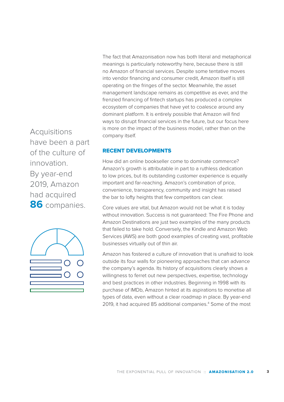The fact that Amazonisation now has both literal and metaphorical meanings is particularly noteworthy here, because there is still no Amazon of financial services. Despite some tentative moves into vendor financing and consumer credit, Amazon itself is still operating on the fringes of the sector. Meanwhile, the asset management landscape remains as competitive as ever, and the frenzied financing of fintech startups has produced a complex ecosystem of companies that have yet to coalesce around any dominant platform. It is entirely possible that Amazon will find ways to disrupt financial services in the future, but our focus here is more on the impact of the business model, rather than on the company itself.

have been a part of the culture of innovation. By year-end 2019, Amazon had acquired **86** companies.

**Acquisitions** 



### RECENT DEVELOPMENTS

How did an online bookseller come to dominate commerce? Amazon's growth is attributable in part to a ruthless dedication to low prices, but its outstanding customer experience is equally important and far-reaching. Amazon's combination of price, convenience, transparency, community and insight has raised the bar to lofty heights that few competitors can clear.

Core values are vital, but Amazon would not be what it is today without innovation. Success is not guaranteed: The Fire Phone and Amazon Destinations are just two examples of the many products that failed to take hold. Conversely, the Kindle and Amazon Web Services (AWS) are both good examples of creating vast, profitable businesses virtually out of thin air.

Amazon has fostered a culture of innovation that is unafraid to look outside its four walls for pioneering approaches that can advance the company's agenda. Its history of acquisitions clearly shows a willingness to ferret out new perspectives, expertise, technology and best practices in other industries. Beginning in 1998 with its purchase of IMDb, Amazon hinted at its aspirations to monetise all types of data, even without a clear roadmap in place. By year-end 2019, it had acquired 85 additional companies.<sup>4</sup> Some of the most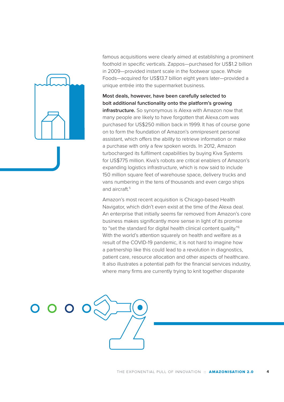

famous acquisitions were clearly aimed at establishing a prominent foothold in specific verticals. Zappos—purchased for US\$1.2 billion in 2009—provided instant scale in the footwear space. Whole Foods—acquired for US\$13.7 billion eight years later—provided a unique entrée into the supermarket business.

**Most deals, however, have been carefully selected to bolt additional functionality onto the platform's growing infrastructure.** So synonymous is Alexa with Amazon now that many people are likely to have forgotten that Alexa.com was purchased for US\$250 million back in 1999. It has of course gone on to form the foundation of Amazon's omnipresent personal assistant, which offers the ability to retrieve information or make a purchase with only a few spoken words. In 2012, Amazon turbocharged its fulfilment capabilities by buying Kiva Systems for US\$775 million. Kiva's robots are critical enablers of Amazon's expanding logistics infrastructure, which is now said to include 150 million square feet of warehouse space, delivery trucks and vans numbering in the tens of thousands and even cargo ships and aircraft.<sup>5</sup>

Amazon's most recent acquisition is Chicago-based Health Navigator, which didn't even exist at the time of the Alexa deal. An enterprise that initially seems far removed from Amazon's core business makes significantly more sense in light of its promise to "set the standard for digital health clinical content quality."<sup>6</sup> With the world's attention squarely on health and welfare as a result of the COVID-19 pandemic, it is not hard to imagine how a partnership like this could lead to a revolution in diagnostics, patient care, resource allocation and other aspects of healthcare. It also illustrates a potential path for the financial services industry, where many firms are currently trying to knit together disparate

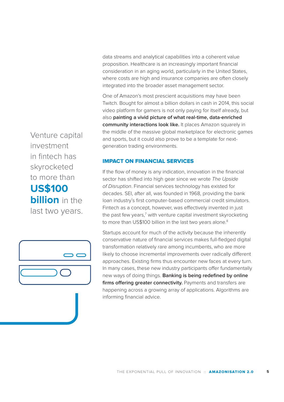data streams and analytical capabilities into a coherent value proposition. Healthcare is an increasingly important financial consideration in an aging world, particularly in the United States, where costs are high and insurance companies are often closely integrated into the broader asset management sector.

One of Amazon's most prescient acquisitions may have been Twitch. Bought for almost a billion dollars in cash in 2014, this social video platform for gamers is not only paying for itself already, but also **painting a vivid picture of what real-time, data-enriched community interactions look like.** It places Amazon squarely in the middle of the massive global marketplace for electronic games and sports, but it could also prove to be a template for nextgeneration trading environments.

### IMPACT ON FINANCIAL SERVICES

If the flow of money is any indication, innovation in the financial sector has shifted into high gear since we wrote *The Upside of Disruption*. Financial services technology has existed for decades. SEI, after all, was founded in 1968, providing the bank loan industry's first computer-based commercial credit simulators. Fintech as a concept, however, was effectively invented in just the past few years,<sup>7</sup> with venture capital investment skyrocketing to more than US\$100 billion in the last two years alone.<sup>8</sup>

Startups account for much of the activity because the inherently conservative nature of financial services makes full-fledged digital transformation relatively rare among incumbents, who are more likely to choose incremental improvements over radically different approaches. Existing firms thus encounter new faces at every turn. In many cases, these new industry participants offer fundamentally new ways of doing things. **Banking is being redefined by online firms offering greater connectivity.** Payments and transfers are happening across a growing array of applications. Algorithms are informing financial advice.

Venture capital investment in fintech has skyrocketed to more than **US\$100 billion** in the last two years.

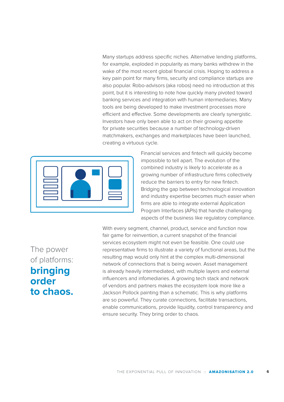Many startups address specific niches. Alternative lending platforms, for example, exploded in popularity as many banks withdrew in the wake of the most recent global financial crisis. Hoping to address a key pain point for many firms, security and compliance startups are also popular. Robo-advisors (aka robos) need no introduction at this point, but it is interesting to note how quickly many pivoted toward banking services and integration with human intermediaries. Many tools are being developed to make investment processes more efficient and effective. Some developments are clearly synergistic. Investors have only been able to act on their growing appetite for private securities because a number of technology-driven matchmakers, exchanges and marketplaces have been launched, creating a virtuous cycle.



Financial services and fintech will quickly become impossible to tell apart. The evolution of the combined industry is likely to accelerate as a growing number of infrastructure firms collectively reduce the barriers to entry for new fintech. Bridging the gap between technological innovation and industry expertise becomes much easier when firms are able to integrate external Application Program Interfaces (APIs) that handle challenging aspects of the business like regulatory compliance.

The power of platforms: **bringing order to chaos.**

With every segment, channel, product, service and function now fair game for reinvention, a current snapshot of the financial services ecosystem might not even be feasible. One could use representative firms to illustrate a variety of functional areas, but the resulting map would only hint at the complex multi-dimensional network of connections that is being woven. Asset management is already heavily intermediated, with multiple layers and external influencers and infomediaries. A growing tech stack and network of vendors and partners makes the ecosystem look more like a Jackson Pollock painting than a schematic. This is why platforms are so powerful. They curate connections, facilitate transactions, enable communications, provide liquidity, control transparency and ensure security. They bring order to chaos.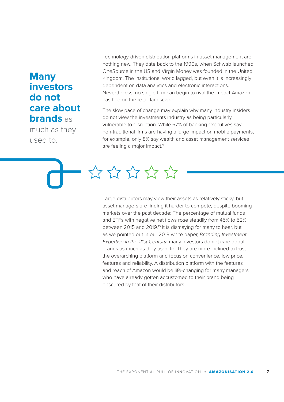### **Many investors do not care about brands** as

much as they used to.

Technology-driven distribution platforms in asset management are nothing new. They date back to the 1990s, when Schwab launched OneSource in the US and Virgin Money was founded in the United Kingdom. The institutional world lagged, but even it is increasingly dependent on data analytics and electronic interactions. Nevertheless, no single firm can begin to rival the impact Amazon has had on the retail landscape.

The slow pace of change may explain why many industry insiders do not view the investments industry as being particularly vulnerable to disruption. While 67% of banking executives say non-traditional firms are having a large impact on mobile payments, for example, only 8% say wealth and asset management services are feeling a major impact.<sup>9</sup>

\*\*\*\*\*

Large distributors may view their assets as relatively sticky, but asset managers are finding it harder to compete, despite booming markets over the past decade: The percentage of mutual funds and ETFs with negative net flows rose steadily from 45% to 52% between 2015 and 2019.<sup>10</sup> It is dismaying for many to hear, but as we pointed out in our 2018 white paper, *Branding Investment Expertise in the 21st Century*, many investors do not care about brands as much as they used to. They are more inclined to trust the overarching platform and focus on convenience, low price, features and reliability. A distribution platform with the features and reach of Amazon would be life-changing for many managers who have already gotten accustomed to their brand being obscured by that of their distributors.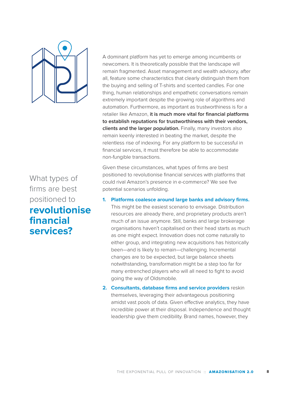

What types of firms are best positioned to **revolutionise financial services?**

A dominant platform has yet to emerge among incumbents or newcomers. It is theoretically possible that the landscape will remain fragmented. Asset management and wealth advisory, after all, feature some characteristics that clearly distinguish them from the buying and selling of T-shirts and scented candles. For one thing, human relationships and empathetic conversations remain extremely important despite the growing role of algorithms and automation. Furthermore, as important as trustworthiness is for a retailer like Amazon, **it is much more vital for financial platforms to establish reputations for trustworthiness with their vendors, clients and the larger population.** Finally, many investors also remain keenly interested in beating the market, despite the relentless rise of indexing. For any platform to be successful in financial services, it must therefore be able to accommodate non-fungible transactions.

Given these circumstances, what types of firms are best positioned to revolutionise financial services with platforms that could rival Amazon's presence in e-commerce? We see five potential scenarios unfolding.

**1. Platforms coalesce around large banks and advisory firms.**

This might be the easiest scenario to envisage. Distribution resources are already there, and proprietary products aren't much of an issue anymore. Still, banks and large brokerage organisations haven't capitalised on their head starts as much as one might expect. Innovation does not come naturally to either group, and integrating new acquisitions has historically been—and is likely to remain—challenging. Incremental changes are to be expected, but large balance sheets notwithstanding, transformation might be a step too far for many entrenched players who will all need to fight to avoid going the way of Oldsmobile.

**2. Consultants, database firms and service providers** reskin themselves, leveraging their advantageous positioning amidst vast pools of data. Given effective analytics, they have incredible power at their disposal. Independence and thought leadership give them credibility. Brand names, however, they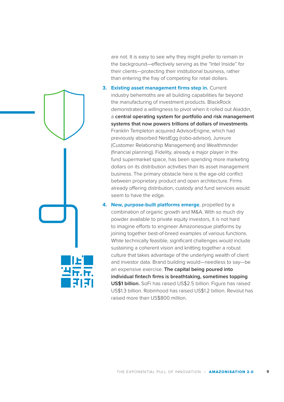are not. It is easy to see why they might prefer to remain in the background—effectively serving as the "Intel Inside" for their clients—protecting their institutional business, rather than entering the fray of competing for retail dollars.

- **3. Existing asset management firms step in.** Current industry behemoths are all building capabilities far beyond the manufacturing of investment products. BlackRock demonstrated a willingness to pivot when it rolled out Aladdin, a **central operating system for portfolio and risk management systems that now powers trillions of dollars of investments**. Franklin Templeton acquired AdvisorEngine, which had previously absorbed NestEgg (robo-advisor), Junxure (Customer Relationship Management) and Wealthminder (financial planning). Fidelity, already a major player in the fund supermarket space, has been spending more marketing dollars on its distribution activities than its asset management business. The primary obstacle here is the age-old conflict between proprietary product and open architecture. Firms already offering distribution, custody and fund services would seem to have the edge.
- **4. New, purpose-built platforms emerge**, propelled by a combination of organic growth and M&A. With so much dry powder available to private equity investors, it is not hard to imagine efforts to engineer Amazonesque platforms by joining together best-of-breed examples of various functions. While technically feasible, significant challenges would include sustaining a coherent vision and knitting together a robust culture that takes advantage of the underlying wealth of client and investor data. Brand building would—needless to say—be an expensive exercise. **The capital being poured into individual fintech firms is breathtaking, sometimes topping US\$1 billion.** SoFi has raised US\$2.5 billion. Figure has raised US\$1.3 billion. Robinhood has raised US\$1.2 billion. Revolut has raised more than US\$800 million.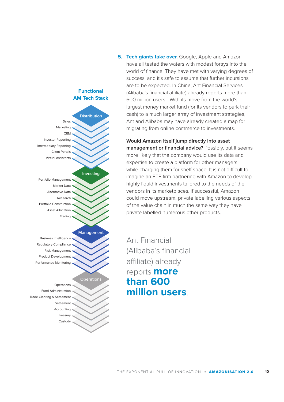

**Would Amazon itself jump directly into asset management or financial advice?** Possibly, but it seems more likely that the company would use its data and expertise to create a platform for other managers while charging them for shelf space. It is not difficult to imagine an ETF firm partnering with Amazon to develop highly liquid investments tailored to the needs of the vendors in its marketplaces. If successful, Amazon could move upstream, private labelling various aspects of the value chain in much the same way they have private labelled numerous other products.

Ant Financial (Alibaba's financial affiliate) already reports **more than 600 million users**.



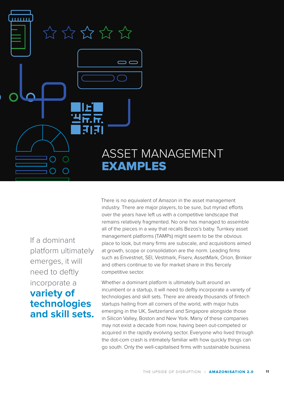

If a dominant platform ultimately emerges, it will need to deftly incorporate a **variety of technologies and skill sets.** There is no equivalent of Amazon in the asset management industry. There are major players, to be sure, but myriad efforts over the years have left us with a competitive landscape that remains relatively fragmented. No one has managed to assemble all of the pieces in a way that recalls Bezos's baby. Turnkey asset management platforms (TAMPs) might seem to be the obvious place to look, but many firms are subscale, and acquisitions aimed at growth, scope or consolidation are the norm. Leading firms such as Envestnet, SEI, Vestmark, Fiserv, AssetMark, Orion, Brinker and others continue to vie for market share in this fiercely competitive sector.

Whether a dominant platform is ultimately built around an incumbent or a startup, it will need to deftly incorporate a variety of technologies and skill sets. There are already thousands of fintech startups hailing from all corners of the world, with major hubs emerging in the UK, Switzerland and Singapore alongside those in Silicon Valley, Boston and New York. Many of these companies may not exist a decade from now, having been out-competed or acquired in the rapidly evolving sector. Everyone who lived through the dot-com crash is intimately familiar with how quickly things can go south. Only the well-capitalised firms with sustainable business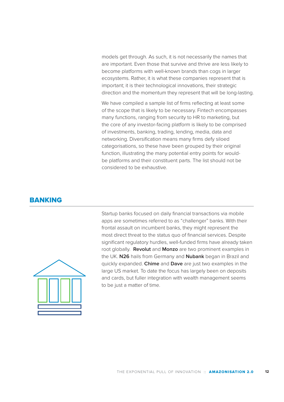models get through. As such, it is not necessarily the names that are important. Even those that survive and thrive are less likely to become platforms with well-known brands than cogs in larger ecosystems. Rather, it is what these companies represent that is important; it is their technological innovations, their strategic direction and the momentum they represent that will be long-lasting.

We have compiled a sample list of firms reflecting at least some of the scope that is likely to be necessary. Fintech encompasses many functions, ranging from security to HR to marketing, but the core of any investor-facing platform is likely to be comprised of investments, banking, trading, lending, media, data and networking. Diversification means many firms defy siloed categorisations, so these have been grouped by their original function, illustrating the many potential entry points for wouldbe platforms and their constituent parts. The list should not be considered to be exhaustive.

### **BANKING**



Startup banks focused on daily financial transactions via mobile apps are sometimes referred to as "challenger" banks. With their frontal assault on incumbent banks, they might represent the most direct threat to the status quo of financial services. Despite significant regulatory hurdles, well-funded firms have already taken root globally. **Revolut** and **Monzo** are two prominent examples in the UK. **N26** hails from Germany and **Nubank** began in Brazil and quickly expanded. **Chime** and **Dave** are just two examples in the large US market. To date the focus has largely been on deposits and cards, but fuller integration with wealth management seems to be just a matter of time.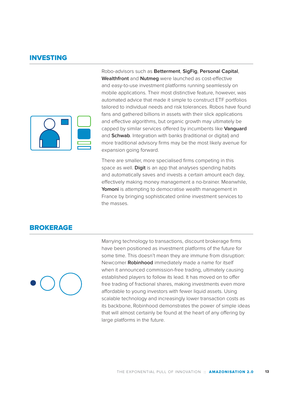### INVESTING



Robo-advisors such as **Betterment**, **SigFig**, **Personal Capital**, **Wealthfront** and **Nutmeg** were launched as cost-effective and easy-to-use investment platforms running seamlessly on mobile applications. Their most distinctive feature, however, was automated advice that made it simple to construct ETF portfolios tailored to individual needs and risk tolerances. Robos have found fans and gathered billions in assets with their slick applications and effective algorithms, but organic growth may ultimately be capped by similar services offered by incumbents like **Vanguard** and **Schwab**. Integration with banks (traditional or digital) and more traditional advisory firms may be the most likely avenue for expansion going forward.

There are smaller, more specialised firms competing in this space as well. **Digit** is an app that analyses spending habits and automatically saves and invests a certain amount each day, effectively making money management a no-brainer. Meanwhile, **Yomoni** is attempting to democratise wealth management in France by bringing sophisticated online investment services to the masses.

### **BROKERAGE**



Marrying technology to transactions, discount brokerage firms have been positioned as investment platforms of the future for some time. This doesn't mean they are immune from disruption: Newcomer **Robinhood** immediately made a name for itself when it announced commission-free trading, ultimately causing established players to follow its lead. It has moved on to offer free trading of fractional shares, making investments even more affordable to young investors with fewer liquid assets. Using scalable technology and increasingly lower transaction costs as its backbone, Robinhood demonstrates the power of simple ideas that will almost certainly be found at the heart of any offering by large platforms in the future.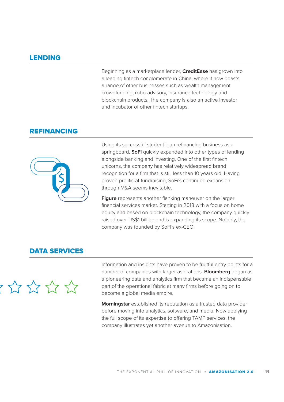### LENDING

Beginning as a marketplace lender, **CreditEase** has grown into a leading fintech conglomerate in China, where it now boasts a range of other businesses such as wealth management, crowdfunding, robo-advisory, insurance technology and blockchain products. The company is also an active investor and incubator of other fintech startups.

### REFINANCING



Using its successful student loan refinancing business as a springboard, **SoFi** quickly expanded into other types of lending alongside banking and investing. One of the first fintech unicorns, the company has relatively widespread brand recognition for a firm that is still less than 10 years old. Having proven prolific at fundraising, SoFi's continued expansion through M&A seems inevitable.

**Figure** represents another flanking maneuver on the larger financial services market. Starting in 2018 with a focus on home equity and based on blockchain technology, the company quickly raised over US\$1 billion and is expanding its scope. Notably, the company was founded by SoFi's ex-CEO.

### DATA SERVICES



Information and insights have proven to be fruitful entry points for a number of companies with larger aspirations. **Bloomberg** began as a pioneering data and analytics firm that became an indispensable part of the operational fabric at many firms before going on to become a global media empire.

**Morningstar** established its reputation as a trusted data provider before moving into analytics, software, and media. Now applying the full scope of its expertise to offering TAMP services, the company illustrates yet another avenue to Amazonisation.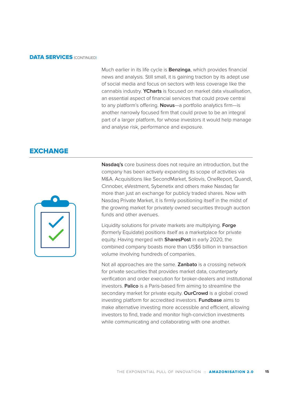### **DATA SERVICES (CONTINUED)**

Much earlier in its life cycle is **Benzinga**, which provides financial news and analysis. Still small, it is gaining traction by its adept use of social media and focus on sectors with less coverage like the cannabis industry. **YCharts** is focused on market data visualisation, an essential aspect of financial services that could prove central to any platform's offering. **Novus**—a portfolio analytics firm—is another narrowly focused firm that could prove to be an integral part of a larger platform, for whose investors it would help manage and analyse risk, performance and exposure.

### **EXCHANGE**



**Nasdaq's** core business does not require an introduction, but the company has been actively expanding its scope of activities via M&A. Acquisitions like SecondMarket, Solovis, OneReport, Quandl, Cinnober, eVestment, Sybenetix and others make Nasdaq far more than just an exchange for publicly traded shares. Now with Nasdaq Private Market, it is firmly positioning itself in the midst of the growing market for privately owned securities through auction funds and other avenues.

Liquidity solutions for private markets are multiplying. **Forge** (formerly Equidate) positions itself as a marketplace for private equity. Having merged with **SharesPost** in early 2020, the combined company boasts more than US\$6 billion in transaction volume involving hundreds of companies.

Not all approaches are the same. **Zanbato** is a crossing network for private securities that provides market data, counterparty verification and order execution for broker-dealers and institutional investors. **Palico** is a Paris-based firm aiming to streamline the secondary market for private equity. **OurCrowd** is a global crowd investing platform for accredited investors. **Fundbase** aims to make alternative investing more accessible and efficient, allowing investors to find, trade and monitor high-conviction investments while communicating and collaborating with one another.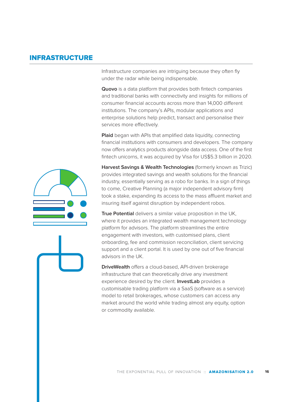### INFRASTRUCTURE

Infrastructure companies are intriguing because they often fly under the radar while being indispensable.

**Quovo** is a data platform that provides both fintech companies and traditional banks with connectivity and insights for millions of consumer financial accounts across more than 14,000 different institutions. The company's APIs, modular applications and enterprise solutions help predict, transact and personalise their services more effectively.

**Plaid** began with APIs that amplified data liquidity, connecting financial institutions with consumers and developers. The company now offers analytics products alongside data access. One of the first fintech unicorns, it was acquired by Visa for US\$5.3 billion in 2020.

**Harvest Savings & Wealth Technologies** (formerly known as Trizic) provides integrated savings and wealth solutions for the financial industry, essentially serving as a robo for banks. In a sign of things to come, Creative Planning (a major independent advisory firm) took a stake, expanding its access to the mass affluent market and insuring itself against disruption by independent robos.

**True Potential** delivers a similar value proposition in the UK, where it provides an integrated wealth management technology platform for advisors. The platform streamlines the entire engagement with investors, with customised plans, client onboarding, fee and commission reconciliation, client servicing support and a client portal. It is used by one out of five financial advisors in the UK.

**DriveWealth** offers a cloud-based, API-driven brokerage infrastructure that can theoretically drive any investment experience desired by the client. **InvestLab** provides a customisable trading platform via a SaaS (software as a service) model to retail brokerages, whose customers can access any market around the world while trading almost any equity, option or commodity available.

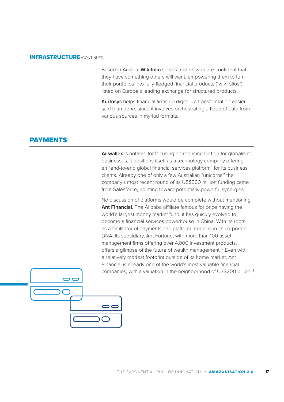### INFRASTRUCTURE (CONTINUED)

Based in Austria, **Wikifolio** serves traders who are confident that they have something others will want, empowering them to turn their portfolios into fully-fledged financial products ("wikifolios"), listed on Europe's leading exchange for structured products.

**Kurtosys** helps financial firms go digital—a transformation easier said than done, since it involves orchestrating a flood of data from various sources in myriad formats.

### PAYMENTS

**Airwallex** is notable for focusing on reducing friction for globalising businesses. It positions itself as a technology company offering an "end-to-end global financial services platform" for its business clients. Already one of only a few Australian "unicorns," the company's most recent round of its US\$360 million funding came from Salesforce, pointing toward potentially powerful synergies.

No discussion of platforms would be complete without mentioning **Ant Financial**. The Alibaba affiliate famous for once having the world's largest money market fund, it has quickly evolved to become a financial services powerhouse in China. With its roots as a facilitator of payments, the platform model is in its corporate DNA. Its subsidiary, Ant Fortune, with more than 100 asset management firms offering over 4,000 investment products, offers a glimpse of the future of wealth management.<sup>12</sup> Even with a relatively modest footprint outside of its home market, Ant Financial is already one of the world's most valuable financial companies, with a valuation in the neighborhood of US\$200 billion.13

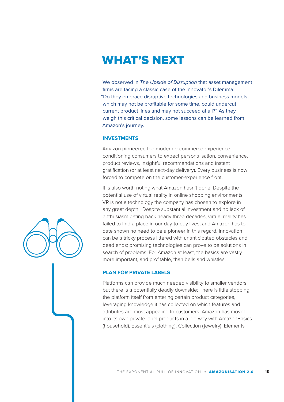# WHAT'S NEXT

We observed in *The Upside of Disruption* that asset management firms are facing a classic case of the Innovator's Dilemma: "Do they embrace disruptive technologies and business models, which may not be profitable for some time, could undercut current product lines and may not succeed at all?" As they weigh this critical decision, some lessons can be learned from Amazon's journey.

### **INVESTMENTS**

Amazon pioneered the modern e-commerce experience, conditioning consumers to expect personalisation, convenience, product reviews, insightful recommendations and instant gratification (or at least next-day delivery). Every business is now forced to compete on the customer-experience front.

It is also worth noting what Amazon hasn't done. Despite the potential use of virtual reality in online shopping environments, VR is not a technology the company has chosen to explore in any great depth. Despite substantial investment and no lack of enthusiasm dating back nearly three decades, virtual reality has failed to find a place in our day-to-day lives, and Amazon has to date shown no need to be a pioneer in this regard. Innovation can be a tricky process littered with unanticipated obstacles and dead ends; promising technologies can prove to be solutions in search of problems. For Amazon at least, the basics are vastly more important, and profitable, than bells and whistles.

### **PLAN FOR PRIVATE LABELS**

Platforms can provide much needed visibility to smaller vendors, but there is a potentially deadly downside: There is little stopping the platform itself from entering certain product categories, leveraging knowledge it has collected on which features and attributes are most appealing to customers. Amazon has moved into its own private label products in a big way with AmazonBasics (household), Essentials (clothing), Collection (jewelry), Elements

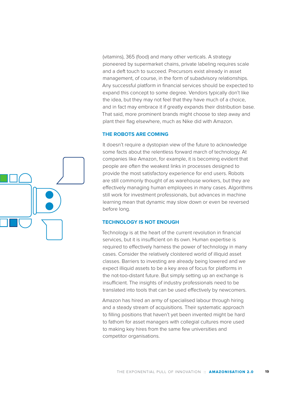(vitamins), 365 (food) and many other verticals. A strategy pioneered by supermarket chains, private labeling requires scale and a deft touch to succeed. Precursors exist already in asset management, of course, in the form of subadvisory relationships. Any successful platform in financial services should be expected to expand this concept to some degree. Vendors typically don't like the idea, but they may not feel that they have much of a choice, and in fact may embrace it if greatly expands their distribution base. That said, more prominent brands might choose to step away and plant their flag elsewhere, much as Nike did with Amazon.

### **THE ROBOTS ARE COMING**

It doesn't require a dystopian view of the future to acknowledge some facts about the relentless forward march of technology. At companies like Amazon, for example, it is becoming evident that people are often the weakest links in processes designed to provide the most satisfactory experience for end users. Robots are still commonly thought of as warehouse workers, but they are effectively managing human employees in many cases. Algorithms still work for investment professionals, but advances in machine learning mean that dynamic may slow down or even be reversed before long.

### **TECHNOLOGY IS NOT ENOUGH**

Technology is at the heart of the current revolution in financial services, but it is insufficient on its own. Human expertise is required to effectively harness the power of technology in many cases. Consider the relatively cloistered world of illiquid asset classes. Barriers to investing are already being lowered and we expect illiquid assets to be a key area of focus for platforms in the not-too-distant future. But simply setting up an exchange is insufficient. The insights of industry professionals need to be translated into tools that can be used effectively by newcomers.

Amazon has hired an army of specialised labour through hiring and a steady stream of acquisitions. Their systematic approach to filling positions that haven't yet been invented might be hard to fathom for asset managers with collegial cultures more used to making key hires from the same few universities and competitor organisations.

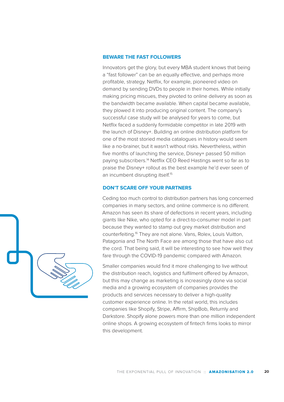### **BEWARE THE FAST FOLLOWERS**

Innovators get the glory, but every MBA student knows that being a "fast follower" can be an equally effective, and perhaps more profitable, strategy. Netflix, for example, pioneered video on demand by sending DVDs to people in their homes. While initially making pricing miscues, they pivoted to online delivery as soon as the bandwidth became available. When capital became available, they plowed it into producing original content. The company's successful case study will be analysed for years to come, but Netflix faced a suddenly formidable competitor in late 2019 with the launch of Disney+. Building an online distribution platform for one of the most storied media catalogues in history would seem like a no-brainer, but it wasn't without risks. Nevertheless, within five months of launching the service, Disney+ passed 50 million paying subscribers.14 Netflix CEO Reed Hastings went so far as to praise the Disney+ rollout as the best example he'd ever seen of an incumbent disrupting itself.<sup>15</sup>

### **DON'T SCARE OFF YOUR PARTNERS**

Ceding too much control to distribution partners has long concerned companies in many sectors, and online commerce is no different. Amazon has seen its share of defections in recent years, including giants like Nike, who opted for a direct-to-consumer model in part because they wanted to stamp out grey market distribution and counterfeiting.16 They are not alone. Vans, Rolex, Louis Vuitton, Patagonia and The North Face are among those that have also cut the cord. That being said, it will be interesting to see how well they fare through the COVID-19 pandemic compared with Amazon.

Smaller companies would find it more challenging to live without the distribution reach, logistics and fulfilment offered by Amazon, but this may change as marketing is increasingly done via social media and a growing ecosystem of companies provides the products and services necessary to deliver a high-quality customer experience online. In the retail world, this includes companies like Shopify, Stripe, Affirm, ShipBob, Returnly and Darkstore. Shopify alone powers more than one million independent online shops. A growing ecosystem of fintech firms looks to mirror this development.

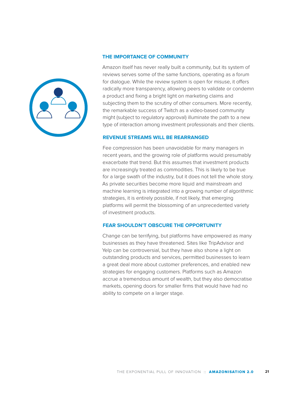

### **THE IMPORTANCE OF COMMUNITY**

Amazon itself has never really built a community, but its system of reviews serves some of the same functions, operating as a forum for dialogue. While the review system is open for misuse, it offers radically more transparency, allowing peers to validate or condemn a product and fixing a bright light on marketing claims and subjecting them to the scrutiny of other consumers. More recently, the remarkable success of Twitch as a video-based community might (subject to regulatory approval) illuminate the path to a new type of interaction among investment professionals and their clients.

### **REVENUE STREAMS WILL BE REARRANGED**

Fee compression has been unavoidable for many managers in recent years, and the growing role of platforms would presumably exacerbate that trend. But this assumes that investment products are increasingly treated as commodities. This is likely to be true for a large swath of the industry, but it does not tell the whole story. As private securities become more liquid and mainstream and machine learning is integrated into a growing number of algorithmic strategies, it is entirely possible, if not likely, that emerging platforms will permit the blossoming of an unprecedented variety of investment products.

### **FEAR SHOULDN'T OBSCURE THE OPPORTUNITY**

Change can be terrifying, but platforms have empowered as many businesses as they have threatened. Sites like TripAdvisor and Yelp can be controversial, but they have also shone a light on outstanding products and services, permitted businesses to learn a great deal more about customer preferences, and enabled new strategies for engaging customers. Platforms such as Amazon accrue a tremendous amount of wealth, but they also democratise markets, opening doors for smaller firms that would have had no ability to compete on a larger stage.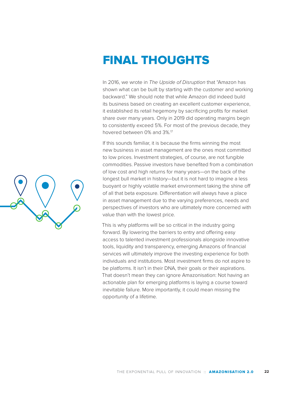

In 2016, we wrote in *The Upside of Disruption* that "Amazon has shown what can be built by starting with the customer and working backward." We should note that while Amazon did indeed build its business based on creating an excellent customer experience, it established its retail hegemony by sacrificing profits for market share over many years. Only in 2019 did operating margins begin to consistently exceed 5%. For most of the previous decade, they hovered between 0% and 3%.17

If this sounds familiar, it is because the firms winning the most new business in asset management are the ones most committed to low prices. Investment strategies, of course, are not fungible commodities. Passive investors have benefited from a combination of low cost and high returns for many years—on the back of the longest bull market in history—but it is not hard to imagine a less buoyant or highly volatile market environment taking the shine off of all that beta exposure. Differentiation will always have a place in asset management due to the varying preferences, needs and perspectives of investors who are ultimately more concerned with value than with the lowest price.

This is why platforms will be so critical in the industry going forward. By lowering the barriers to entry and offering easy access to talented investment professionals alongside innovative tools, liquidity and transparency, emerging Amazons of financial services will ultimately improve the investing experience for both individuals and institutions. Most investment firms do not aspire to be platforms. It isn't in their DNA, their goals or their aspirations. That doesn't mean they can ignore Amazonisation: Not having an actionable plan for emerging platforms is laying a course toward inevitable failure. More importantly, it could mean missing the opportunity of a lifetime.

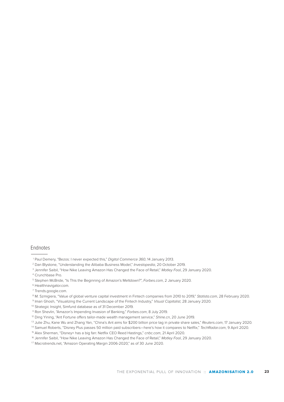### Endnotes

- 2 Dan Blystone, "Understanding the Alibaba Business Model," *Investopedia*, 20 October 2019.
- 3 Jennifer Saibil, "How Nike Leaving Amazon Has Changed the Face of Retail," *Motley Fool*, 29 January 2020.
- <sup>4</sup> Crunchbase Pro.
- 5 Stephen McBride, "Is This the Beginning of Amazon's Meltdown?", *Forbes.com*, 2 January 2020.
- 6 Healthnavigator.com.
- 7 Trends.google.com.

<sup>8</sup> M. Szmigiera, "Value of global venture capital investment in Fintech companies from 2010 to 2019," *Statista.com*, 28 February 2020.

- <sup>9</sup> Iman Ghosh, "Visualizing the Current Landscape of the Fintech Industry," *Visual Capitalist*, 28 January 2020.
- 10 Strategic Insight, Simfund database as of 31 December 2019.
- <sup>11</sup> Ron Shevlin, "Amazon's Impending Invasion of Banking," *Forbes.com*, 8 July 2019.
- <sup>12</sup> Ding Yining, "Ant Fortune offers tailor-made wealth management service," *Shine.cn*, 20 June 2019.
- <sup>13</sup> Julie Zhu, Kane Wu and Zhang Yan, "China's Ant aims for \$200 billion price tag in private share sales," *Reuters.com*, 17 January 2020.
- 14 Samuel Roberts, "Disney Plus passes 50 million paid subscribers—here's how it compares to Netflix," *TechRadar.com*, 9 April 2020.
- <sup>15</sup> Alex Sherman, "Disney+ has a big fan: Netflix CEO Reed Hastings," *cnbc.com*, 21 April 2020.
- <sup>16</sup> Jennifer Saibil, "How Nike Leaving Amazon Has Changed the Face of Retail," *Motley Fool*, 29 January 2020.
- <sup>17</sup> Macrotrends.net, "Amazon Operating Margin 2006-2020," as of 30 June 2020.

<sup>&</sup>lt;sup>1</sup> Paul Demery, "Bezos: I never expected this," Digital Commerce 360, 14 January 2013.